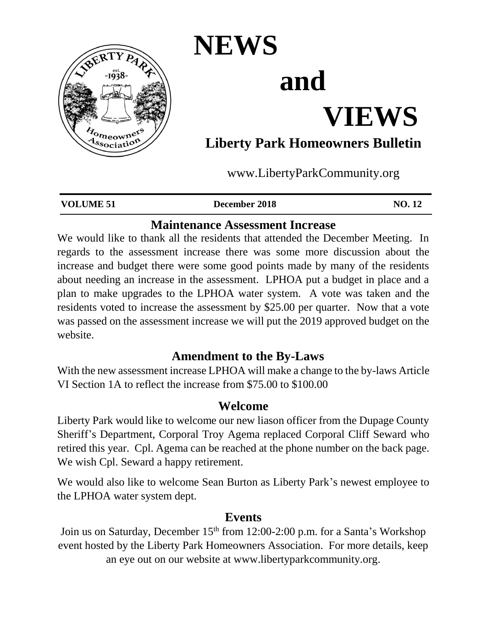

# **NEWS**

## **and**

## **VIEWS**

### **Liberty Park Homeowners Bulletin**

www.LibertyParkCommunity.org

| <b>VOLUME 51</b> | December 2018 | NO.12 |
|------------------|---------------|-------|
|                  |               |       |

#### **Maintenance Assessment Increase**

We would like to thank all the residents that attended the December Meeting. In regards to the assessment increase there was some more discussion about the increase and budget there were some good points made by many of the residents about needing an increase in the assessment. LPHOA put a budget in place and a plan to make upgrades to the LPHOA water system. A vote was taken and the residents voted to increase the assessment by \$25.00 per quarter. Now that a vote was passed on the assessment increase we will put the 2019 approved budget on the website.

#### **Amendment to the By-Laws**

With the new assessment increase LPHOA will make a change to the by-laws Article VI Section 1A to reflect the increase from \$75.00 to \$100.00

#### **Welcome**

Liberty Park would like to welcome our new liason officer from the Dupage County Sheriff's Department, Corporal Troy Agema replaced Corporal Cliff Seward who retired this year. Cpl. Agema can be reached at the phone number on the back page. We wish Cpl. Seward a happy retirement.

We would also like to welcome Sean Burton as Liberty Park's newest employee to the LPHOA water system dept.

#### **Events**

Join us on Saturday, December 15<sup>th</sup> from 12:00-2:00 p.m. for a Santa's Workshop event hosted by the Liberty Park Homeowners Association. For more details, keep an eye out on our website at www.libertyparkcommunity.org.